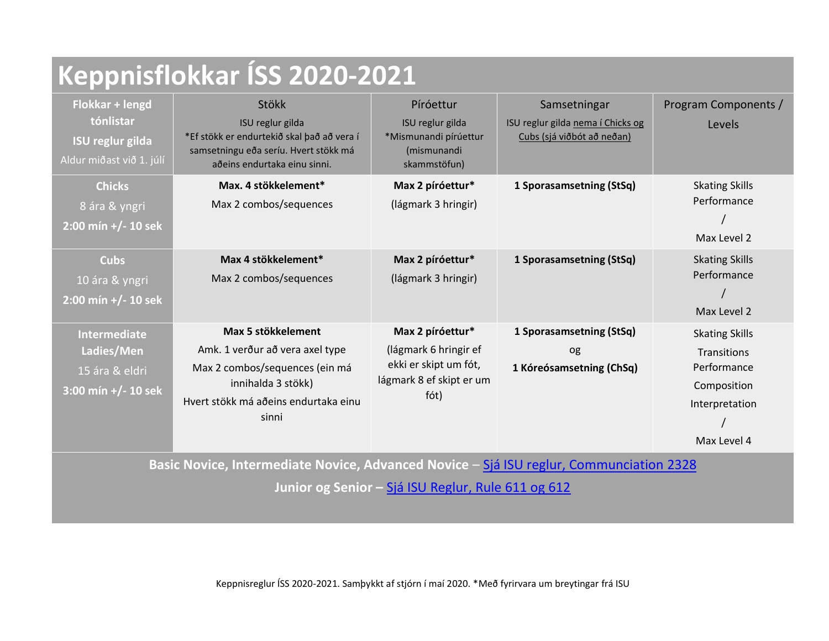| Keppnisflokkar ÍSS 2020-2021                                                                 |                                                                                                                                                                                                                                                           |                                                                                                        |                                                                                 |                                                                                                     |  |
|----------------------------------------------------------------------------------------------|-----------------------------------------------------------------------------------------------------------------------------------------------------------------------------------------------------------------------------------------------------------|--------------------------------------------------------------------------------------------------------|---------------------------------------------------------------------------------|-----------------------------------------------------------------------------------------------------|--|
| Flokkar + lengd<br>tónlistar<br><b>ISU reglur gilda</b><br>Aldur miðast við 1. júlí          | <b>Stökk</b><br>ISU reglur gilda<br>*Ef stökk er endurtekið skal það að vera í<br>samsetningu eða seríu. Hvert stökk má<br>aðeins endurtaka einu sinni.                                                                                                   | Píróettur<br>ISU reglur gilda<br>*Mismunandi pírúettur<br>(mismunandi<br>skammstöfun)                  | Samsetningar<br>ISU reglur gilda nema í Chicks og<br>Cubs (sjá viðbót að neðan) | Program Components /<br>Levels                                                                      |  |
| <b>Chicks</b><br>8 ára & yngri<br>2:00 mín +/- 10 sek                                        | Max. 4 stökkelement*<br>Max 2 combos/sequences                                                                                                                                                                                                            | Max 2 píróettur*<br>(lágmark 3 hringir)                                                                | 1 Sporasamsetning (StSq)                                                        | <b>Skating Skills</b><br>Performance<br>Max Level 2                                                 |  |
| <b>Cubs</b><br>10 ára & yngri<br>2:00 mín +/- 10 sek                                         | Max 4 stökkelement*<br>Max 2 combos/sequences                                                                                                                                                                                                             | Max 2 píróettur*<br>(lágmark 3 hringir)                                                                | 1 Sporasamsetning (StSq)                                                        | <b>Skating Skills</b><br>Performance<br>Max Level 2                                                 |  |
| <b>Intermediate</b><br>Ladies/Men<br>15 ára & eldri<br>$3:00 \text{ min} +/- 10 \text{ sek}$ | Max 5 stökkelement<br>Amk. 1 verður að vera axel type<br>Max 2 combos/sequences (ein má<br>innihalda 3 stökk)<br>Hvert stökk má aðeins endurtaka einu<br>sinni<br>Basic Novice, Intermediate Novice, Advanced Novice - Sjá ISU reglur, Communciation 2328 | Max 2 píróettur*<br>(lágmark 6 hringir ef<br>ekki er skipt um fót,<br>lágmark 8 ef skipt er um<br>fót) | 1 Sporasamsetning (StSq)<br>og<br>1 Kóreósamsetning (ChSq)                      | <b>Skating Skills</b><br>Transitions<br>Performance<br>Composition<br>Interpretation<br>Max Level 4 |  |

**Junior og Senior –** [Sjá ISU Reglur, Rule 611 og 612](https://www.isu.org/inside-isu/rules-regulations/isu-statutes-constitution-regulations-technical/special-regulations-and-technical-rules/17927-single-pair-and-ice-dance-2018/file#page=104)

Keppnisreglur ÍSS 2020-2021. Samþykkt af stjórn í maí 2020. \*Með fyrirvara um breytingar frá ISU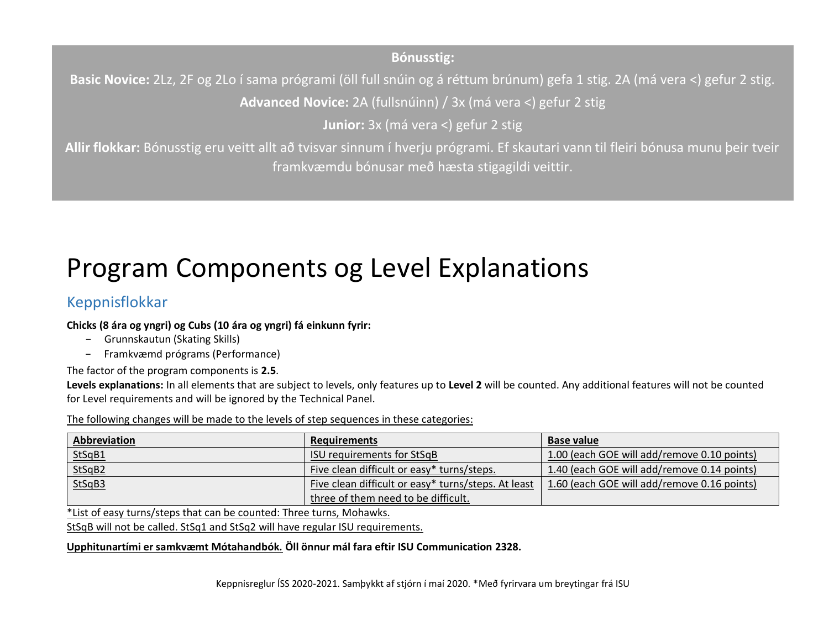### **Bónusstig:**

**Basic Novice:** 2Lz, 2F og 2Lo í sama prógrami (öll full snúin og á réttum brúnum) gefa 1 stig. 2A (má vera <) gefur 2 stig. **Advanced Novice:** 2A (fullsnúinn) / 3x (má vera <) gefur 2 stig

**Junior:** 3x (má vera <) gefur 2 stig

**Allir flokkar:** Bónusstig eru veitt allt að tvisvar sinnum í hverju prógrami. Ef skautari vann til fleiri bónusa munu þeir tveir framkvæmdu bónusar með hæsta stigagildi veittir.

# Program Components og Level Explanations

# Keppnisflokkar

#### **Chicks (8 ára og yngri) og Cubs (10 ára og yngri) fá einkunn fyrir:**

- − Grunnskautun (Skating Skills)
- − Framkvæmd prógrams (Performance)

#### The factor of the program components is **2.5**.

**Levels explanations:** In all elements that are subject to levels, only features up to **Level 2** will be counted. Any additional features will not be counted for Level requirements and will be ignored by the Technical Panel.

The following changes will be made to the levels of step sequences in these categories:

| Abbreviation | <b>Requirements</b>                                 | <b>Base value</b>                           |
|--------------|-----------------------------------------------------|---------------------------------------------|
| StSqB1       | <b>ISU</b> requirements for StSqB                   | 1.00 (each GOE will add/remove 0.10 points) |
| StSqB2       | Five clean difficult or easy* turns/steps.          | 1.40 (each GOE will add/remove 0.14 points) |
| StSqB3       | Five clean difficult or easy* turns/steps. At least | 1.60 (each GOE will add/remove 0.16 points) |
|              | three of them need to be difficult.                 |                                             |

\*List of easy turns/steps that can be counted: Three turns, Mohawks.

StSqB will not be called. StSq1 and StSq2 will have regular ISU requirements.

**Upphitunartími er samkvæmt Mótahandbók. Öll önnur mál fara eftir ISU Communication 2328.**

Keppnisreglur ÍSS 2020-2021. Samþykkt af stjórn í maí 2020. \*Með fyrirvara um breytingar frá ISU